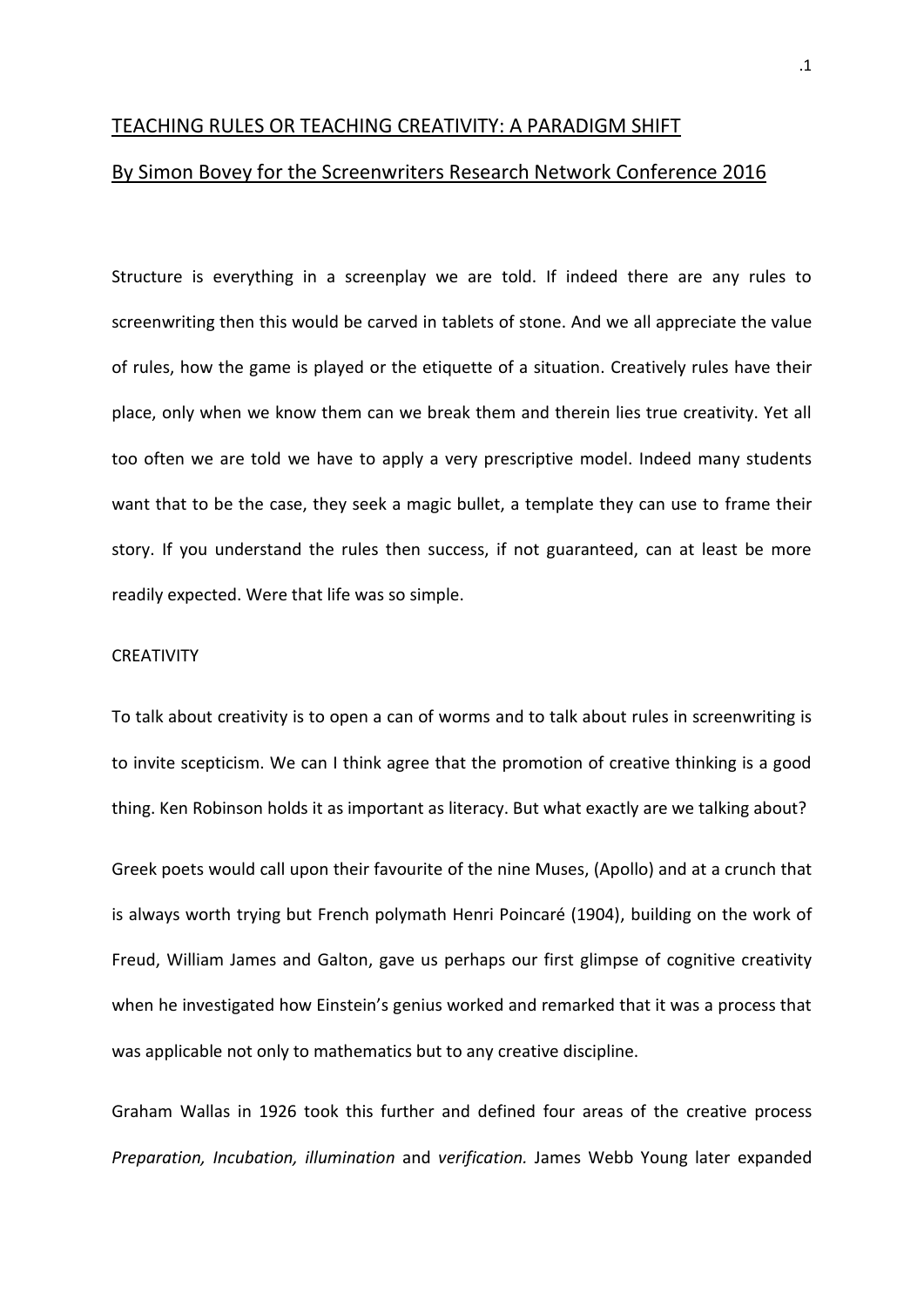## TEACHING RULES OR TEACHING CREATIVITY: A PARADIGM SHIFT

## By Simon Bovey for the Screenwriters Research Network Conference 2016

Structure is everything in a screenplay we are told. If indeed there are any rules to screenwriting then this would be carved in tablets of stone. And we all appreciate the value of rules, how the game is played or the etiquette of a situation. Creatively rules have their place, only when we know them can we break them and therein lies true creativity. Yet all too often we are told we have to apply a very prescriptive model. Indeed many students want that to be the case, they seek a magic bullet, a template they can use to frame their story. If you understand the rules then success, if not guaranteed, can at least be more readily expected. Were that life was so simple.

## **CREATIVITY**

To talk about creativity is to open a can of worms and to talk about rules in screenwriting is to invite scepticism. We can I think agree that the promotion of creative thinking is a good thing. Ken Robinson holds it as important as literacy. But what exactly are we talking about?

Greek poets would call upon their favourite of the nine Muses, (Apollo) and at a crunch that is always worth trying but French polymath Henri Poincaré (1904), building on the work of Freud, William James and Galton, gave us perhaps our first glimpse of cognitive creativity when he investigated how Einstein's genius worked and remarked that it was a process that was applicable not only to mathematics but to any creative discipline.

Graham Wallas in 1926 took this further and defined four areas of the creative process *Preparation, Incubation, illumination* and *verification.* James Webb Young later expanded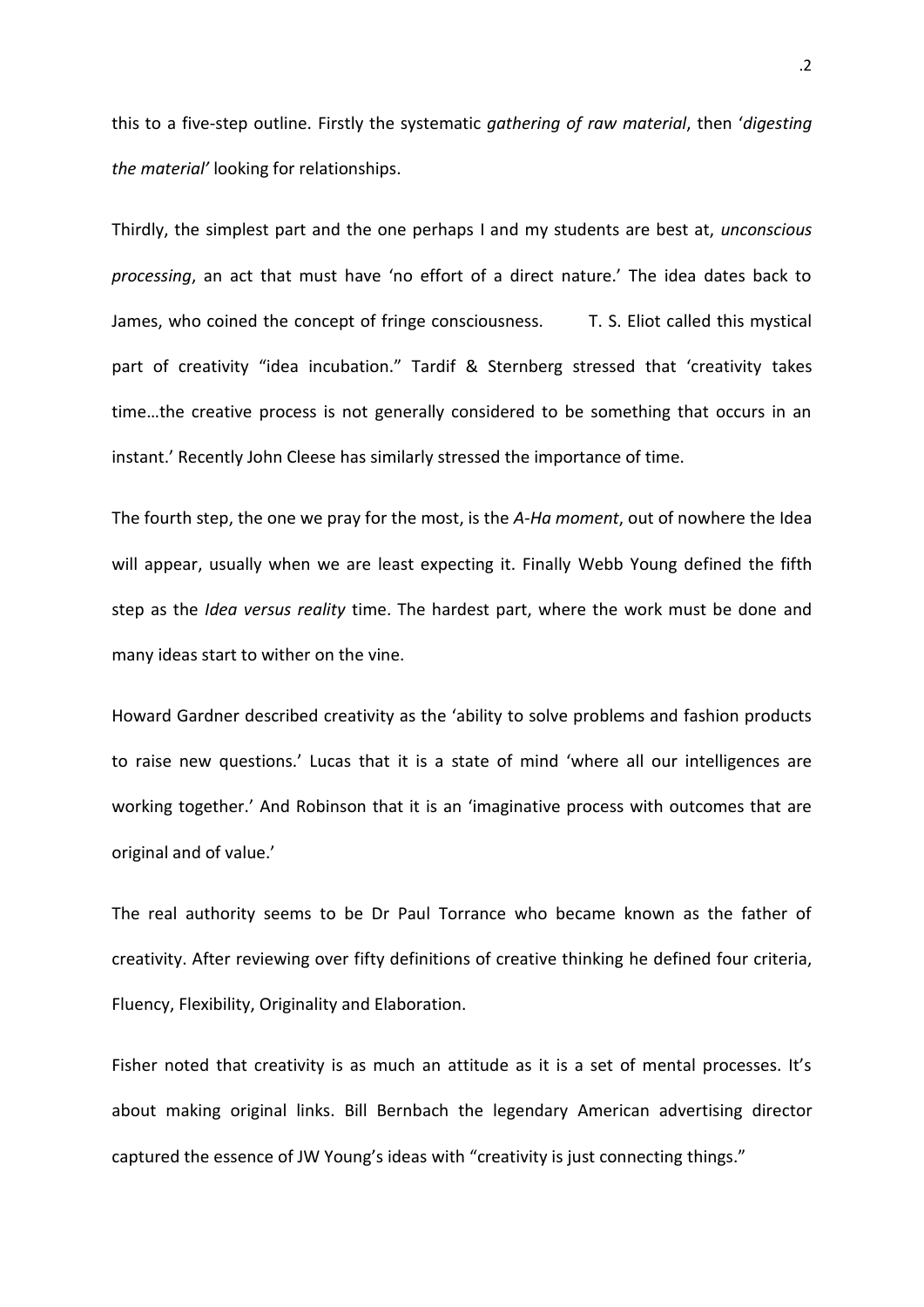this to a five-step outline. Firstly the systematic *gathering of raw material*, then '*digesting the material'* looking for relationships.

Thirdly, the simplest part and the one perhaps I and my students are best at, *unconscious processing*, an act that must have 'no effort of a direct nature.' The idea dates back to James, who coined the concept of fringe consciousness. T. S. Eliot called this mystical part of creativity "idea incubation." Tardif & Sternberg stressed that 'creativity takes time…the creative process is not generally considered to be something that occurs in an instant.' Recently John Cleese has similarly stressed the importance of time.

The fourth step, the one we pray for the most, is the *A-Ha moment*, out of nowhere the Idea will appear, usually when we are least expecting it. Finally Webb Young defined the fifth step as the *Idea versus reality* time. The hardest part, where the work must be done and many ideas start to wither on the vine.

Howard Gardner described creativity as the 'ability to solve problems and fashion products to raise new questions.' Lucas that it is a state of mind 'where all our intelligences are working together.' And Robinson that it is an 'imaginative process with outcomes that are original and of value.'

The real authority seems to be Dr Paul Torrance who became known as the father of creativity. After reviewing over fifty definitions of creative thinking he defined four criteria, Fluency, Flexibility, Originality and Elaboration.

Fisher noted that creativity is as much an attitude as it is a set of mental processes. It's about making original links. Bill Bernbach the legendary American advertising director captured the essence of JW Young's ideas with "creativity is just connecting things."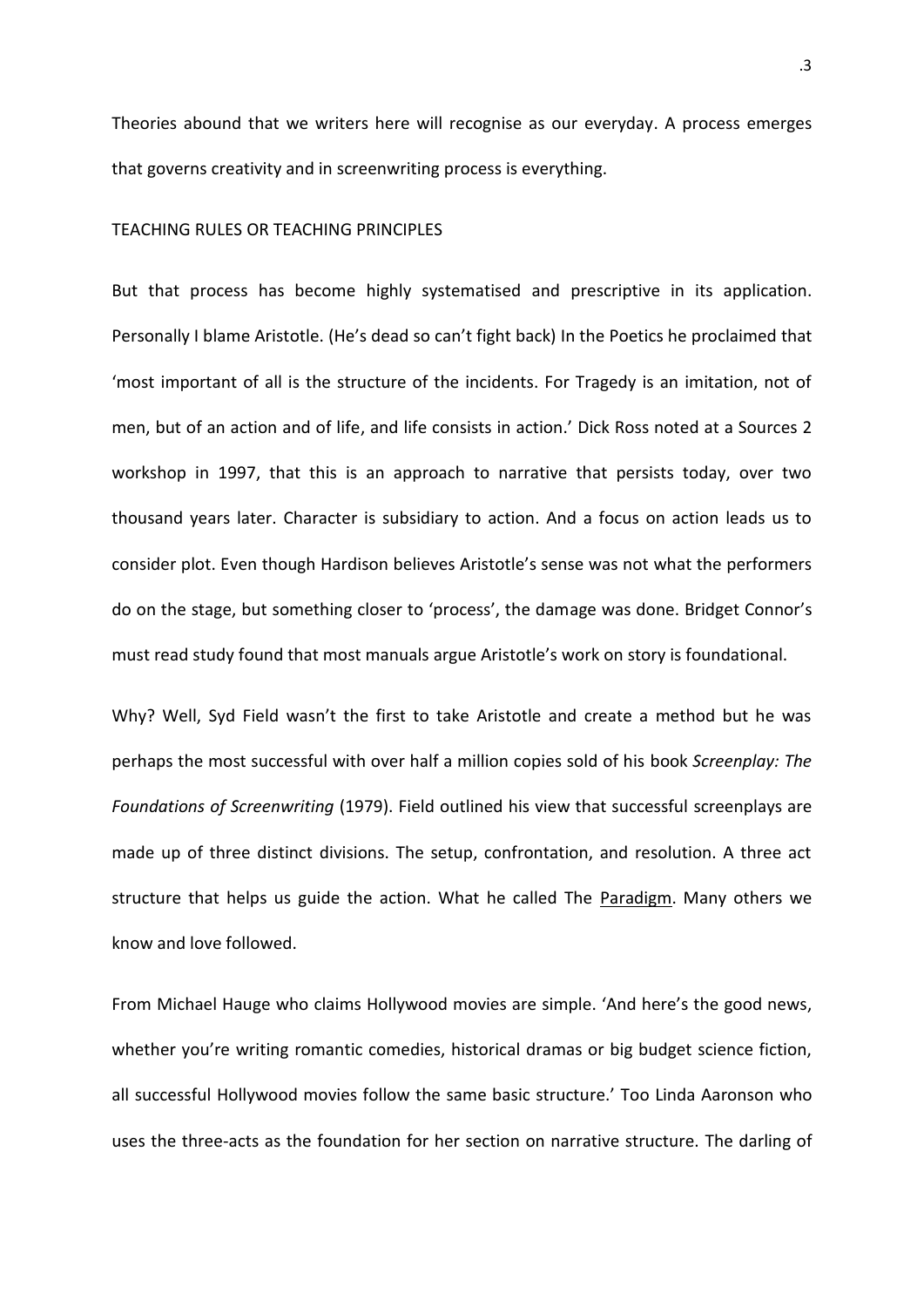Theories abound that we writers here will recognise as our everyday. A process emerges that governs creativity and in screenwriting process is everything.

### TEACHING RULES OR TEACHING PRINCIPLES

But that process has become highly systematised and prescriptive in its application. Personally I blame Aristotle. (He's dead so can't fight back) In the Poetics he proclaimed that 'most important of all is the structure of the incidents. For Tragedy is an imitation, not of men, but of an action and of life, and life consists in action.' Dick Ross noted at a Sources 2 workshop in 1997, that this is an approach to narrative that persists today, over two thousand years later. Character is subsidiary to action. And a focus on action leads us to consider plot. Even though Hardison believes Aristotle's sense was not what the performers do on the stage, but something closer to 'process', the damage was done. Bridget Connor's must read study found that most manuals argue Aristotle's work on story is foundational.

Why? Well, Syd Field wasn't the first to take Aristotle and create a method but he was perhaps the most successful with over half a million copies sold of his book *Screenplay: The Foundations of Screenwriting* (1979). Field outlined his view that successful screenplays are made up of three distinct divisions. The setup, confrontation, and resolution. A three act structure that helps us guide the action. What he called The Paradigm. Many others we know and love followed.

From Michael Hauge who claims Hollywood movies are simple. 'And here's the good news, whether you're writing romantic comedies, historical dramas or big budget science fiction, all successful Hollywood movies follow the same basic structure.' Too Linda Aaronson who uses the three-acts as the foundation for her section on narrative structure. The darling of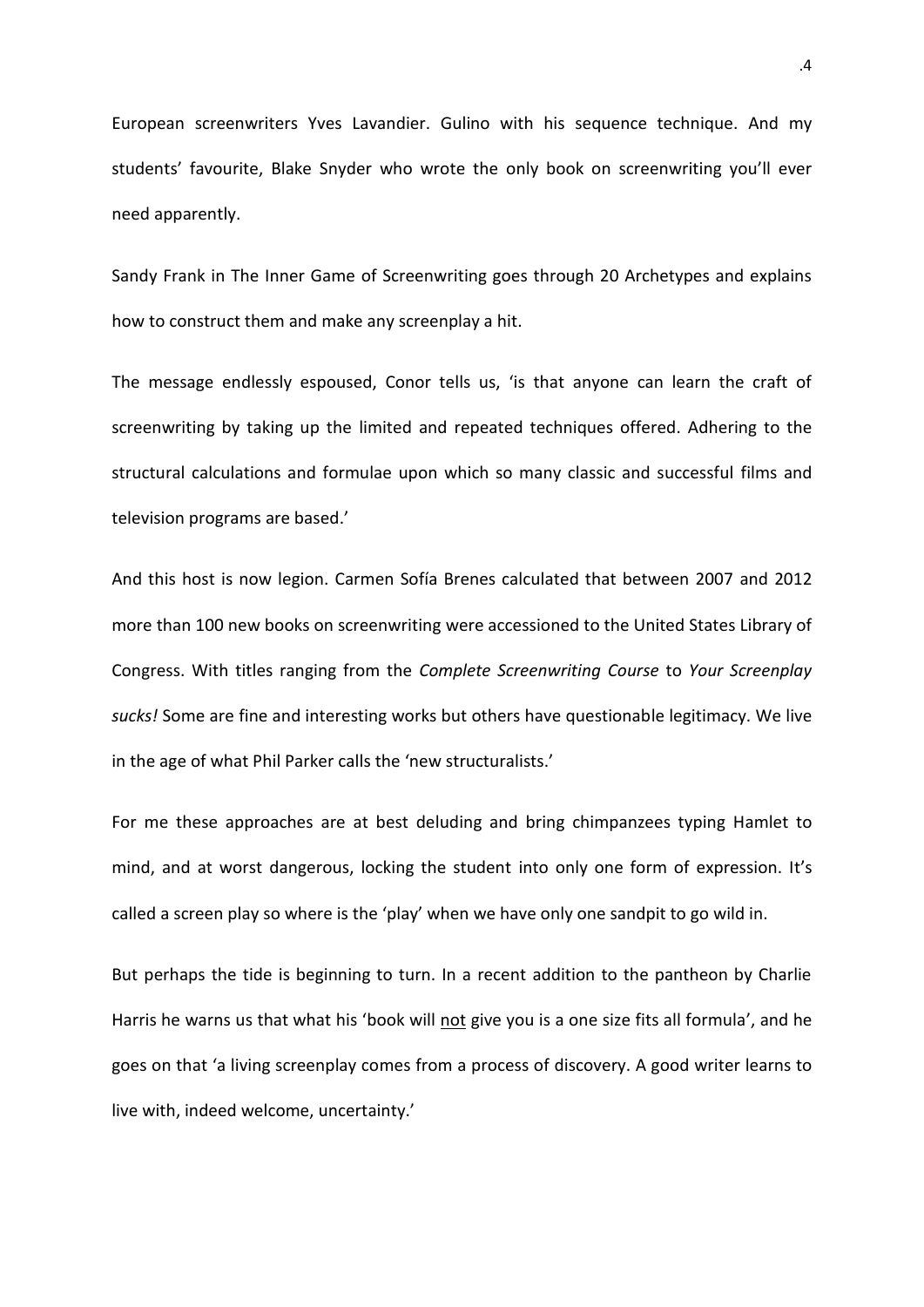European screenwriters Yves Lavandier. Gulino with his sequence technique. And my students' favourite, Blake Snyder who wrote the only book on screenwriting you'll ever need apparently.

Sandy Frank in The Inner Game of Screenwriting goes through 20 Archetypes and explains how to construct them and make any screenplay a hit.

The message endlessly espoused, Conor tells us, 'is that anyone can learn the craft of screenwriting by taking up the limited and repeated techniques offered. Adhering to the structural calculations and formulae upon which so many classic and successful films and television programs are based.'

And this host is now legion. Carmen Sofía Brenes calculated that between 2007 and 2012 more than 100 new books on screenwriting were accessioned to the United States Library of Congress. With titles ranging from the *Complete Screenwriting Course* to *Your Screenplay sucks!* Some are fine and interesting works but others have questionable legitimacy. We live in the age of what Phil Parker calls the 'new structuralists.'

For me these approaches are at best deluding and bring chimpanzees typing Hamlet to mind, and at worst dangerous, locking the student into only one form of expression. It's called a screen play so where is the 'play' when we have only one sandpit to go wild in.

But perhaps the tide is beginning to turn. In a recent addition to the pantheon by Charlie Harris he warns us that what his 'book will not give you is a one size fits all formula', and he goes on that 'a living screenplay comes from a process of discovery. A good writer learns to live with, indeed welcome, uncertainty.'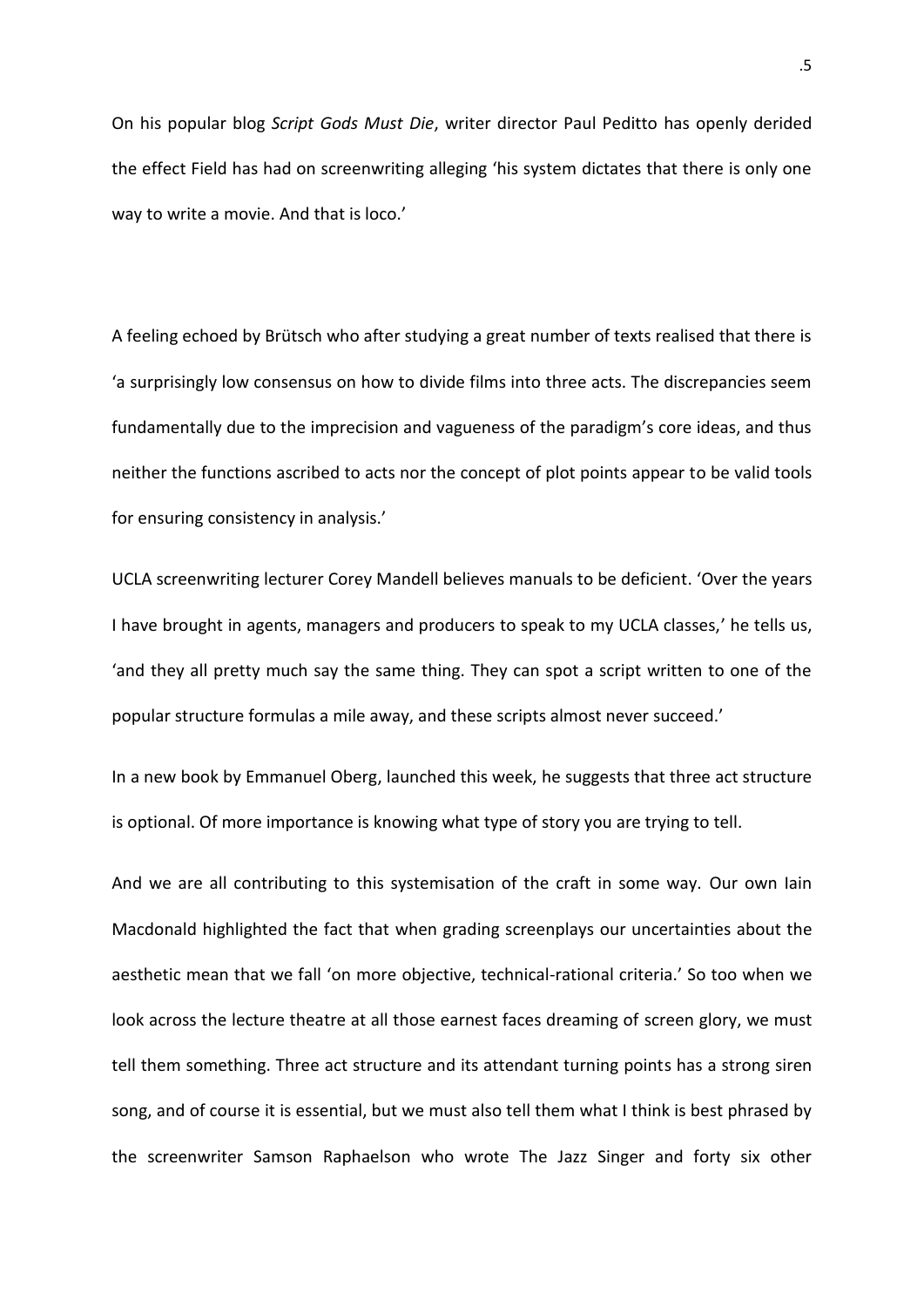On his popular blog *Script Gods Must Die*, writer director Paul Peditto has openly derided the effect Field has had on screenwriting alleging 'his system dictates that there is only one way to write a movie. And that is loco.'

A feeling echoed by Brütsch who after studying a great number of texts realised that there is 'a surprisingly low consensus on how to divide films into three acts. The discrepancies seem fundamentally due to the imprecision and vagueness of the paradigm's core ideas, and thus neither the functions ascribed to acts nor the concept of plot points appear to be valid tools for ensuring consistency in analysis.'

UCLA screenwriting lecturer Corey Mandell believes manuals to be deficient. 'Over the years I have brought in agents, managers and producers to speak to my UCLA classes,' he tells us, 'and they all pretty much say the same thing. They can spot a script written to one of the popular structure formulas a mile away, and these scripts almost never succeed.'

In a new book by Emmanuel Oberg, launched this week, he suggests that three act structure is optional. Of more importance is knowing what type of story you are trying to tell.

And we are all contributing to this systemisation of the craft in some way. Our own Iain Macdonald highlighted the fact that when grading screenplays our uncertainties about the aesthetic mean that we fall 'on more objective, technical-rational criteria.' So too when we look across the lecture theatre at all those earnest faces dreaming of screen glory, we must tell them something. Three act structure and its attendant turning points has a strong siren song, and of course it is essential, but we must also tell them what I think is best phrased by the screenwriter Samson Raphaelson who wrote The Jazz Singer and forty six other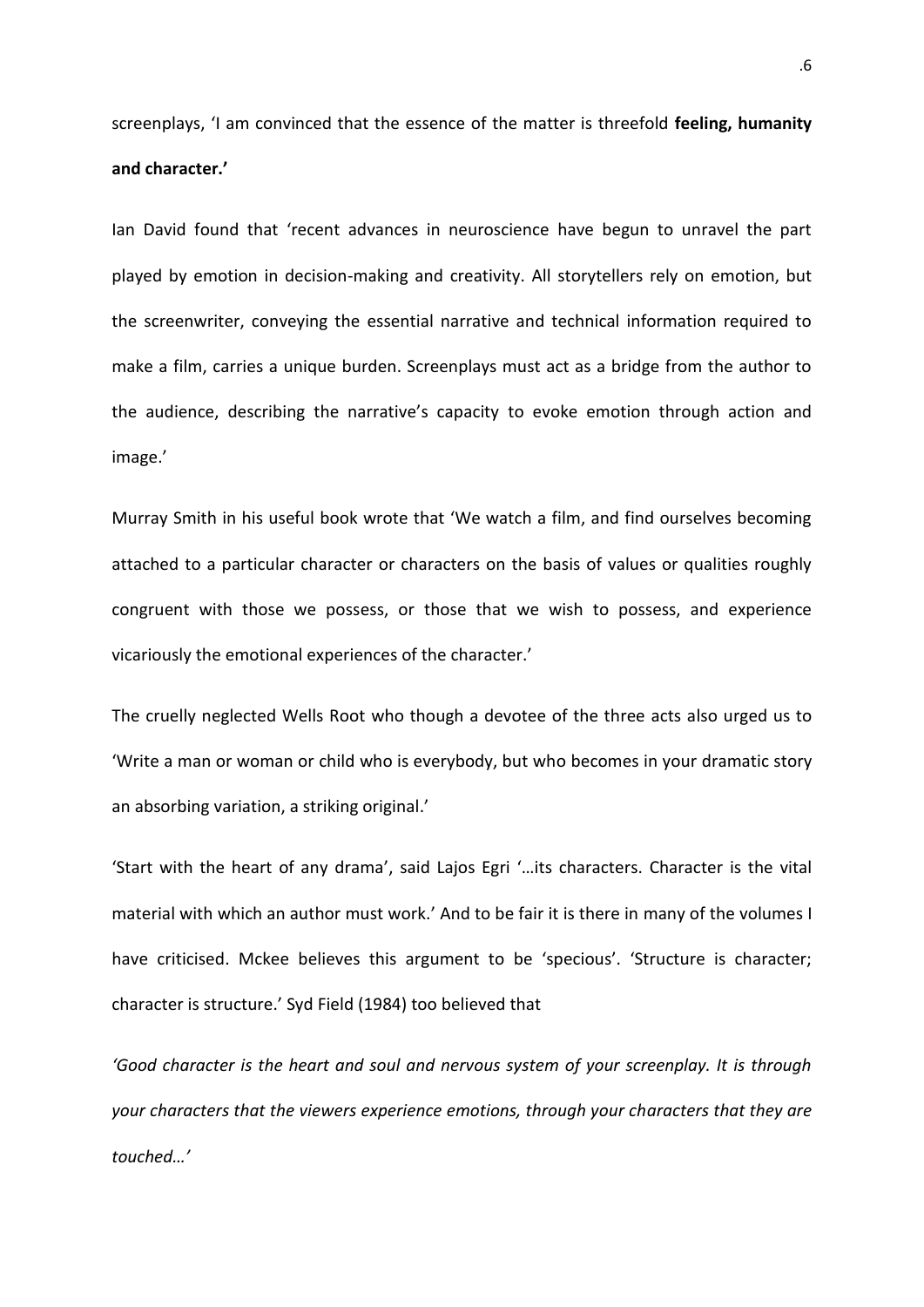screenplays, 'I am convinced that the essence of the matter is threefold **feeling, humanity and character.'**

Ian David found that 'recent advances in neuroscience have begun to unravel the part played by emotion in decision-making and creativity. All storytellers rely on emotion, but the screenwriter, conveying the essential narrative and technical information required to make a film, carries a unique burden. Screenplays must act as a bridge from the author to the audience, describing the narrative's capacity to evoke emotion through action and image.'

Murray Smith in his useful book wrote that 'We watch a film, and find ourselves becoming attached to a particular character or characters on the basis of values or qualities roughly congruent with those we possess, or those that we wish to possess, and experience vicariously the emotional experiences of the character.'

The cruelly neglected Wells Root who though a devotee of the three acts also urged us to 'Write a man or woman or child who is everybody, but who becomes in your dramatic story an absorbing variation, a striking original.'

'Start with the heart of any drama', said Lajos Egri '…its characters. Character is the vital material with which an author must work.' And to be fair it is there in many of the volumes I have criticised. Mckee believes this argument to be 'specious'. 'Structure is character; character is structure.' Syd Field (1984) too believed that

*'Good character is the heart and soul and nervous system of your screenplay. It is through your characters that the viewers experience emotions, through your characters that they are touched…'*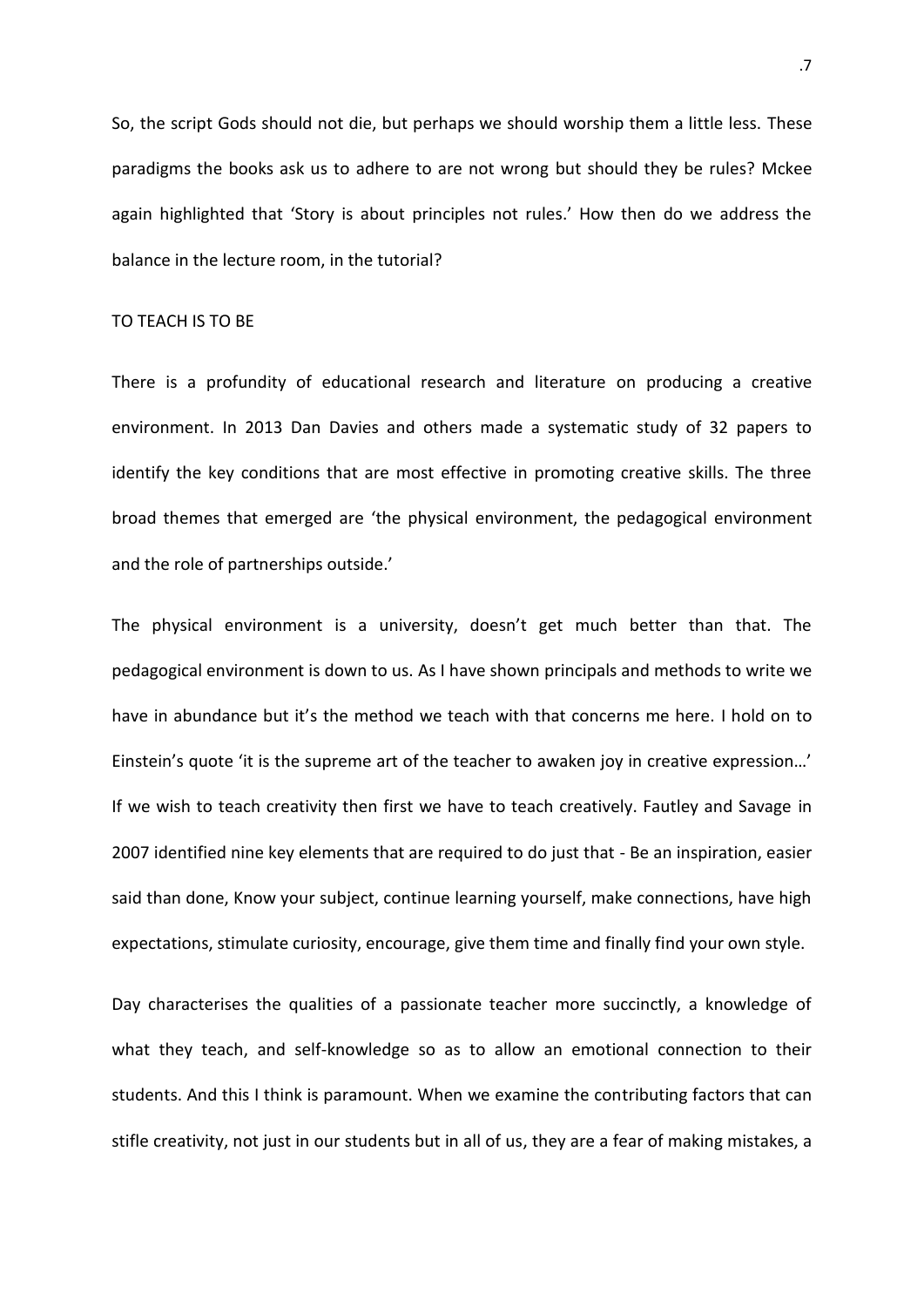So, the script Gods should not die, but perhaps we should worship them a little less. These paradigms the books ask us to adhere to are not wrong but should they be rules? Mckee again highlighted that 'Story is about principles not rules.' How then do we address the balance in the lecture room, in the tutorial?

### TO TEACH IS TO BE

There is a profundity of educational research and literature on producing a creative environment. In 2013 Dan Davies and others made a systematic study of 32 papers to identify the key conditions that are most effective in promoting creative skills. The three broad themes that emerged are 'the physical environment, the pedagogical environment and the role of partnerships outside.'

The physical environment is a university, doesn't get much better than that. The pedagogical environment is down to us. As I have shown principals and methods to write we have in abundance but it's the method we teach with that concerns me here. I hold on to Einstein's quote 'it is the supreme art of the teacher to awaken joy in creative expression…' If we wish to teach creativity then first we have to teach creatively. Fautley and Savage in 2007 identified nine key elements that are required to do just that - Be an inspiration, easier said than done, Know your subject, continue learning yourself, make connections, have high expectations, stimulate curiosity, encourage, give them time and finally find your own style.

Day characterises the qualities of a passionate teacher more succinctly, a knowledge of what they teach, and self-knowledge so as to allow an emotional connection to their students. And this I think is paramount. When we examine the contributing factors that can stifle creativity, not just in our students but in all of us, they are a fear of making mistakes, a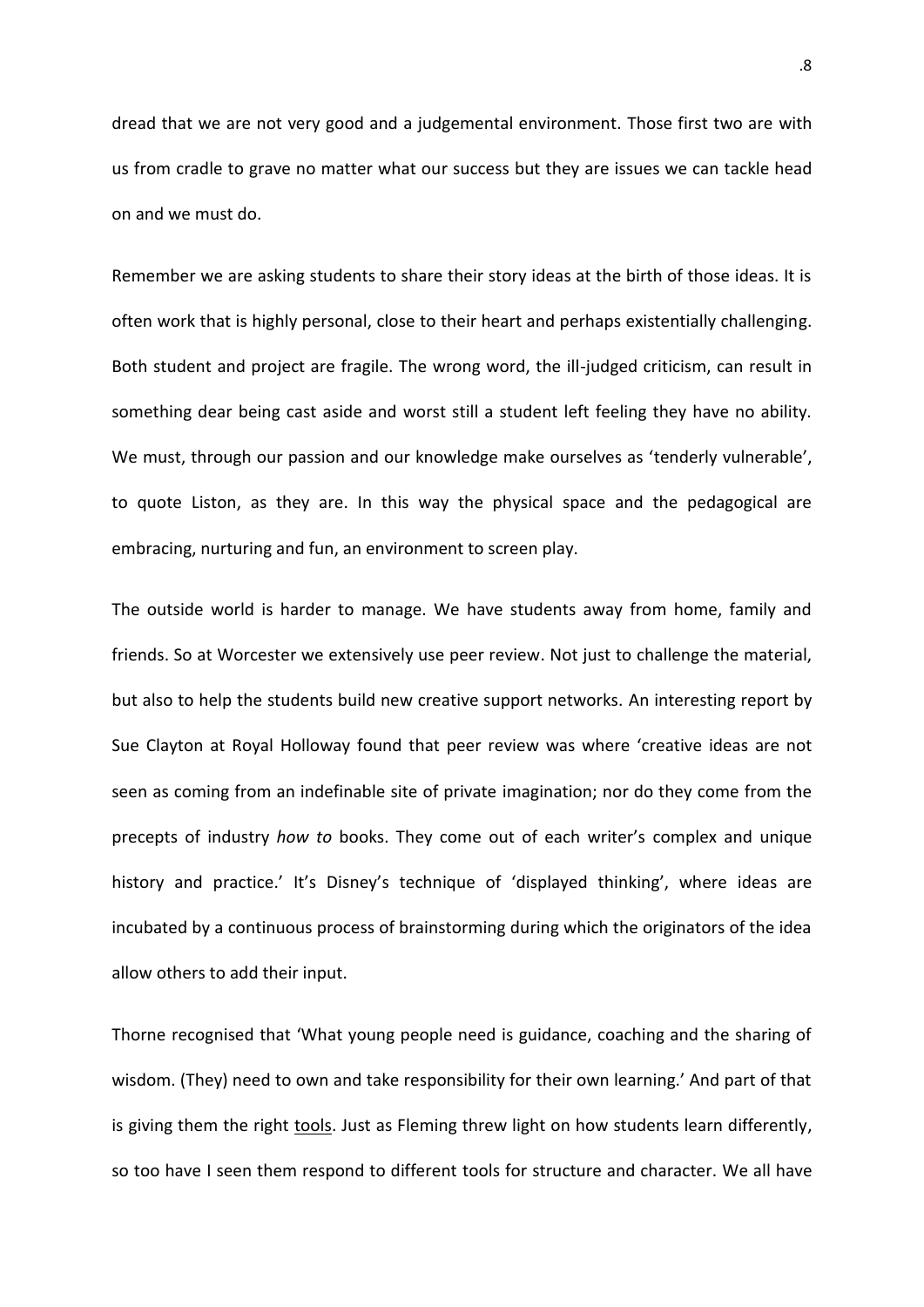dread that we are not very good and a judgemental environment. Those first two are with us from cradle to grave no matter what our success but they are issues we can tackle head on and we must do.

Remember we are asking students to share their story ideas at the birth of those ideas. It is often work that is highly personal, close to their heart and perhaps existentially challenging. Both student and project are fragile. The wrong word, the ill-judged criticism, can result in something dear being cast aside and worst still a student left feeling they have no ability. We must, through our passion and our knowledge make ourselves as 'tenderly vulnerable', to quote Liston, as they are. In this way the physical space and the pedagogical are embracing, nurturing and fun, an environment to screen play.

The outside world is harder to manage. We have students away from home, family and friends. So at Worcester we extensively use peer review. Not just to challenge the material, but also to help the students build new creative support networks. An interesting report by Sue Clayton at Royal Holloway found that peer review was where 'creative ideas are not seen as coming from an indefinable site of private imagination; nor do they come from the precepts of industry *how to* books. They come out of each writer's complex and unique history and practice.' It's Disney's technique of 'displayed thinking', where ideas are incubated by a continuous process of brainstorming during which the originators of the idea allow others to add their input.

Thorne recognised that 'What young people need is guidance, coaching and the sharing of wisdom. (They) need to own and take responsibility for their own learning.' And part of that is giving them the right tools. Just as Fleming threw light on how students learn differently, so too have I seen them respond to different tools for structure and character. We all have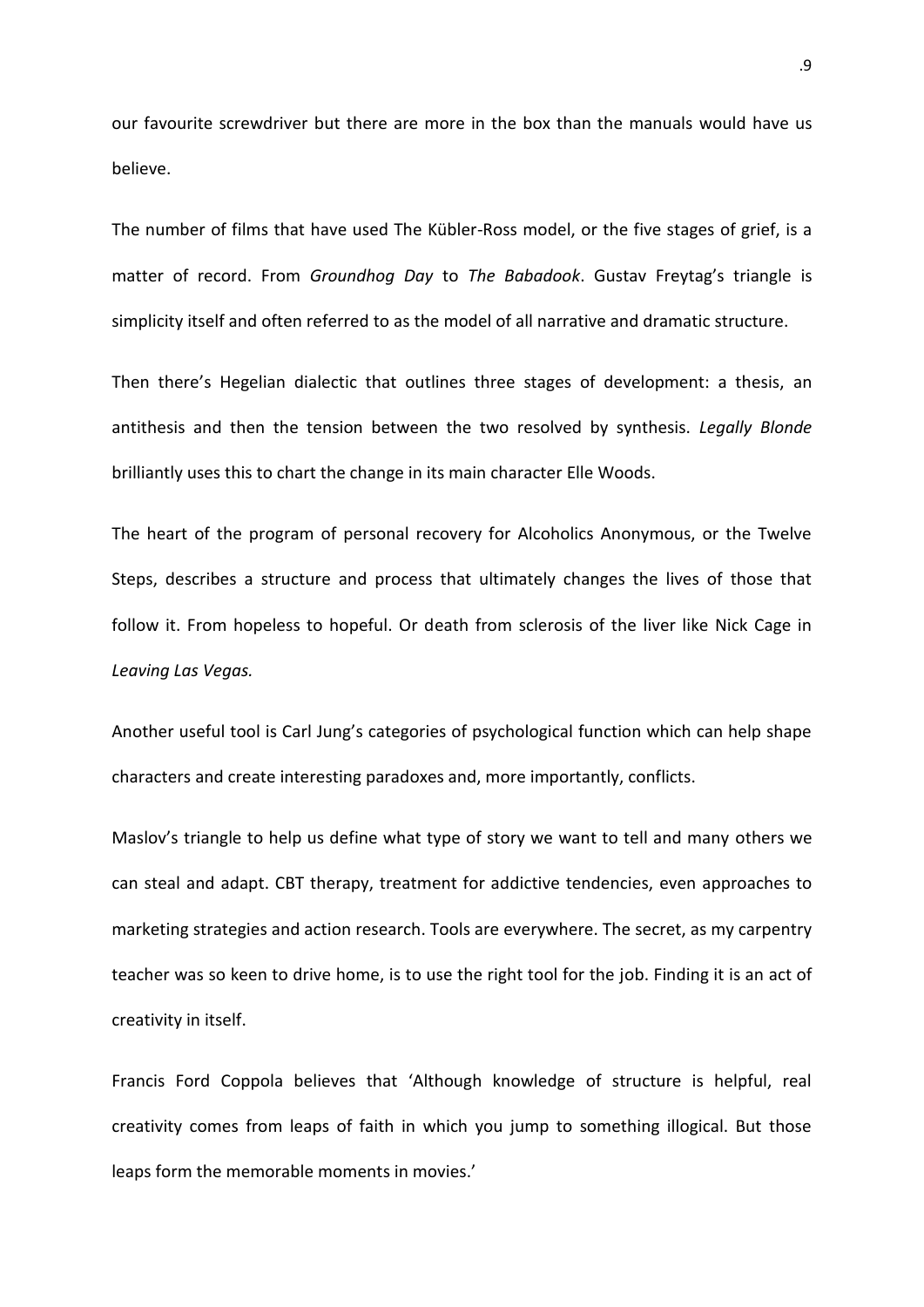our favourite screwdriver but there are more in the box than the manuals would have us believe.

The number of films that have used The Kübler-Ross model, or the five stages of grief, is a matter of record. From *Groundhog Day* to *The Babadook*. Gustav Freytag's triangle is simplicity itself and often referred to as the model of all narrative and dramatic structure.

Then there's Hegelian dialectic that outlines three stages of development: a thesis, an antithesis and then the tension between the two resolved by synthesis. *Legally Blonde* brilliantly uses this to chart the change in its main character Elle Woods.

The heart of the program of personal recovery for Alcoholics Anonymous, or the Twelve Steps, describes a structure and process that ultimately changes the lives of those that follow it. From hopeless to hopeful. Or death from sclerosis of the liver like Nick Cage in *Leaving Las Vegas.*

Another useful tool is Carl Jung's categories of psychological function which can help shape characters and create interesting paradoxes and, more importantly, conflicts.

Maslov's triangle to help us define what type of story we want to tell and many others we can steal and adapt. CBT therapy, treatment for addictive tendencies, even approaches to marketing strategies and action research. Tools are everywhere. The secret, as my carpentry teacher was so keen to drive home, is to use the right tool for the job. Finding it is an act of creativity in itself.

Francis Ford Coppola believes that 'Although knowledge of structure is helpful, real creativity comes from leaps of faith in which you jump to something illogical. But those leaps form the memorable moments in movies.'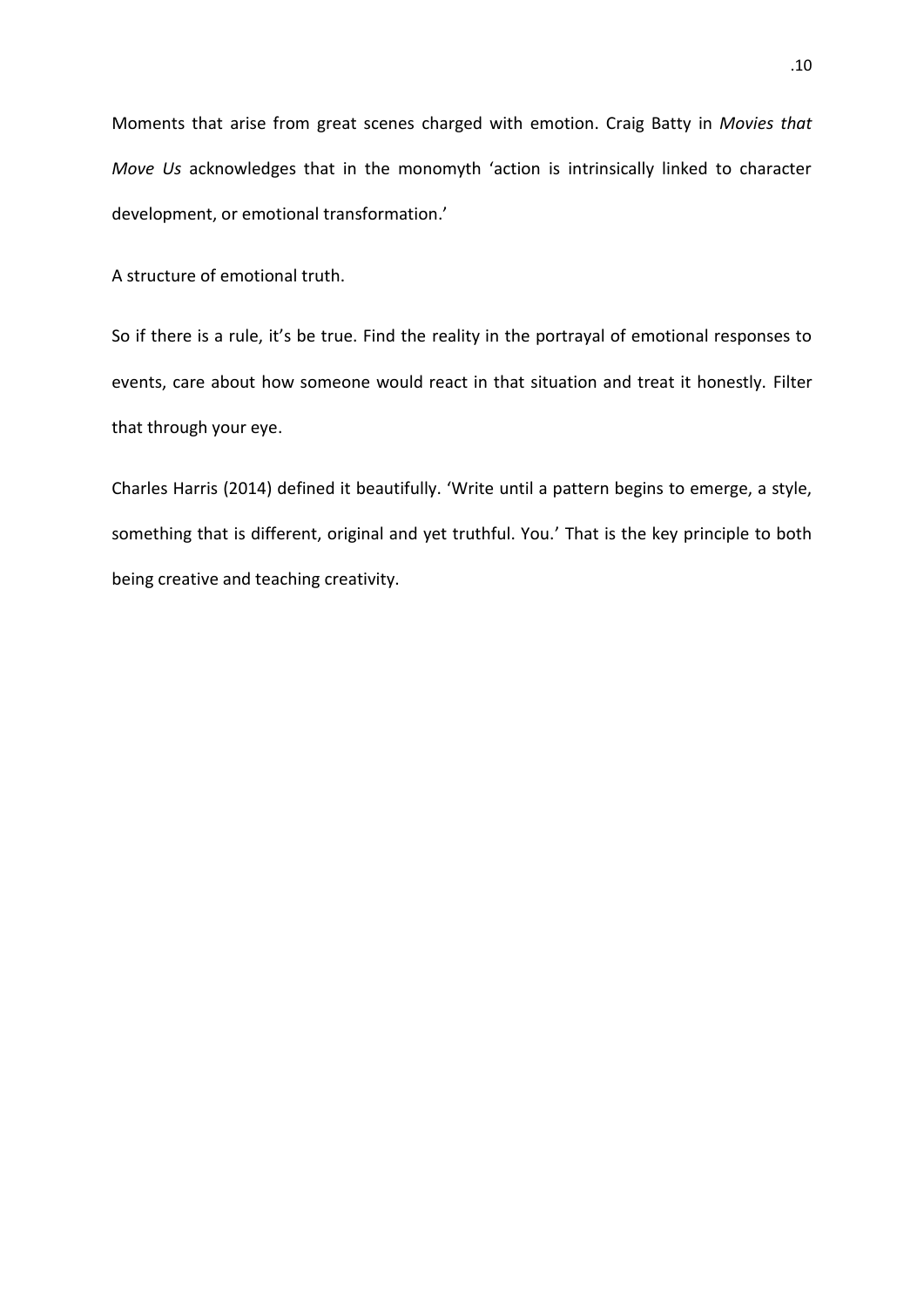Moments that arise from great scenes charged with emotion. Craig Batty in *Movies that Move Us* acknowledges that in the monomyth 'action is intrinsically linked to character development, or emotional transformation.'

A structure of emotional truth.

So if there is a rule, it's be true. Find the reality in the portrayal of emotional responses to events, care about how someone would react in that situation and treat it honestly. Filter that through your eye.

Charles Harris (2014) defined it beautifully. 'Write until a pattern begins to emerge, a style, something that is different, original and yet truthful. You.' That is the key principle to both being creative and teaching creativity.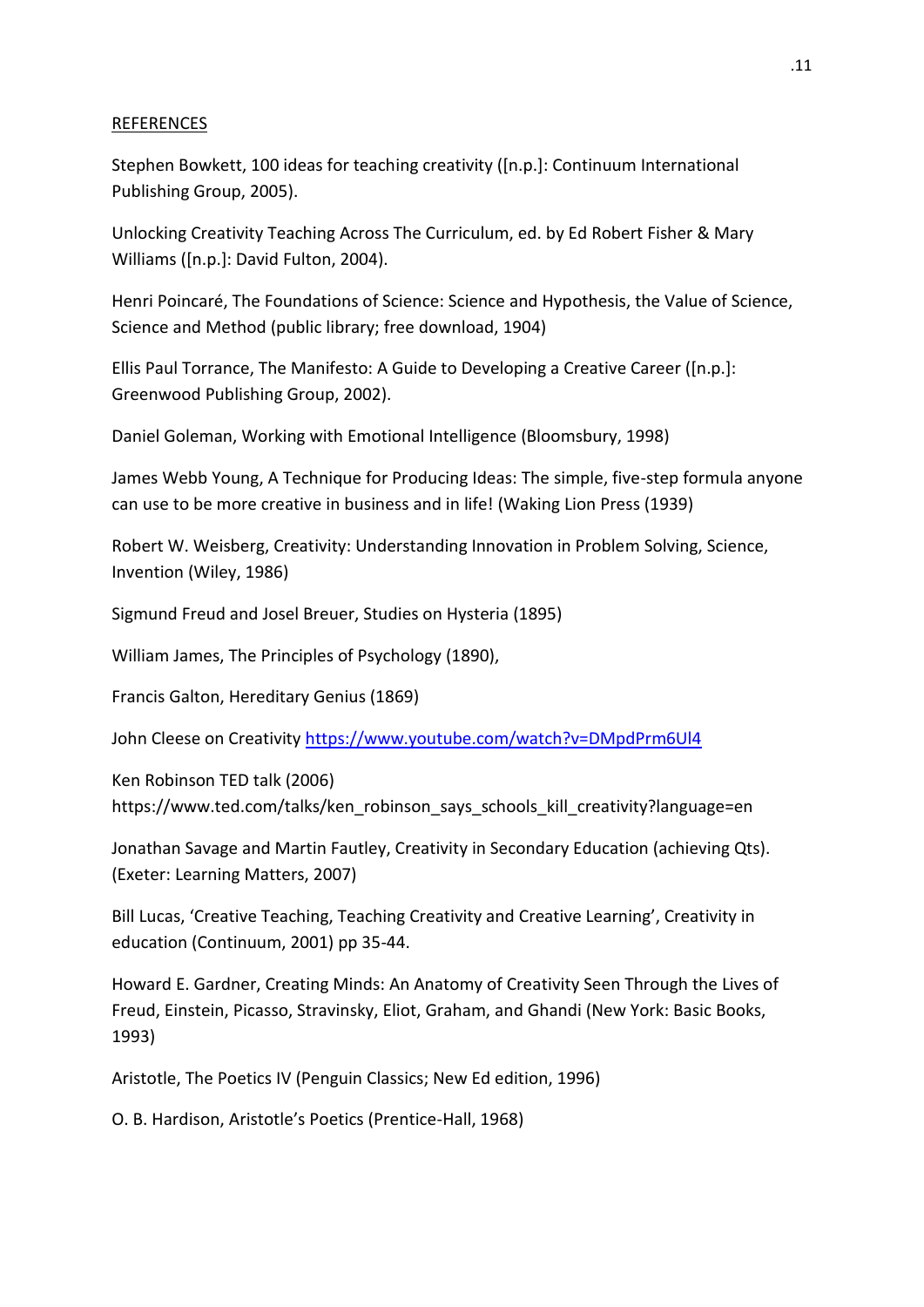# REFERENCES

Stephen Bowkett, 100 ideas for teaching creativity ([n.p.]: Continuum International Publishing Group, 2005).

Unlocking Creativity Teaching Across The Curriculum, ed. by Ed Robert Fisher & Mary Williams ([n.p.]: David Fulton, 2004).

Henri Poincaré, The Foundations of Science: Science and Hypothesis, the Value of Science, Science and Method (public library; free download, 1904)

Ellis Paul Torrance, The Manifesto: A Guide to Developing a Creative Career ([n.p.]: Greenwood Publishing Group, 2002).

Daniel Goleman, Working with Emotional Intelligence (Bloomsbury, 1998)

James Webb Young, A Technique for Producing Ideas: The simple, five-step formula anyone can use to be more creative in business and in life! (Waking Lion Press (1939)

Robert W. Weisberg, Creativity: Understanding Innovation in Problem Solving, Science, Invention (Wiley, 1986)

Sigmund Freud and Josel Breuer, Studies on Hysteria (1895)

William James, The Principles of Psychology (1890),

Francis Galton, Hereditary Genius (1869)

John Cleese on Creativit[y https://www.youtube.com/watch?v=DMpdPrm6Ul4](https://www.youtube.com/watch?v=DMpdPrm6Ul4)

Ken Robinson TED talk (2006) https://www.ted.com/talks/ken\_robinson\_says\_schools\_kill\_creativity?language=en

Jonathan Savage and Martin Fautley, Creativity in Secondary Education (achieving Qts). (Exeter: Learning Matters, 2007)

Bill Lucas, 'Creative Teaching, Teaching Creativity and Creative Learning', Creativity in education (Continuum, 2001) pp 35-44.

Howard E. Gardner, Creating Minds: An Anatomy of Creativity Seen Through the Lives of Freud, Einstein, Picasso, Stravinsky, Eliot, Graham, and Ghandi (New York: Basic Books, 1993)

Aristotle, The Poetics IV (Penguin Classics; New Ed edition, 1996)

O. B. Hardison, Aristotle's Poetics (Prentice-Hall, 1968)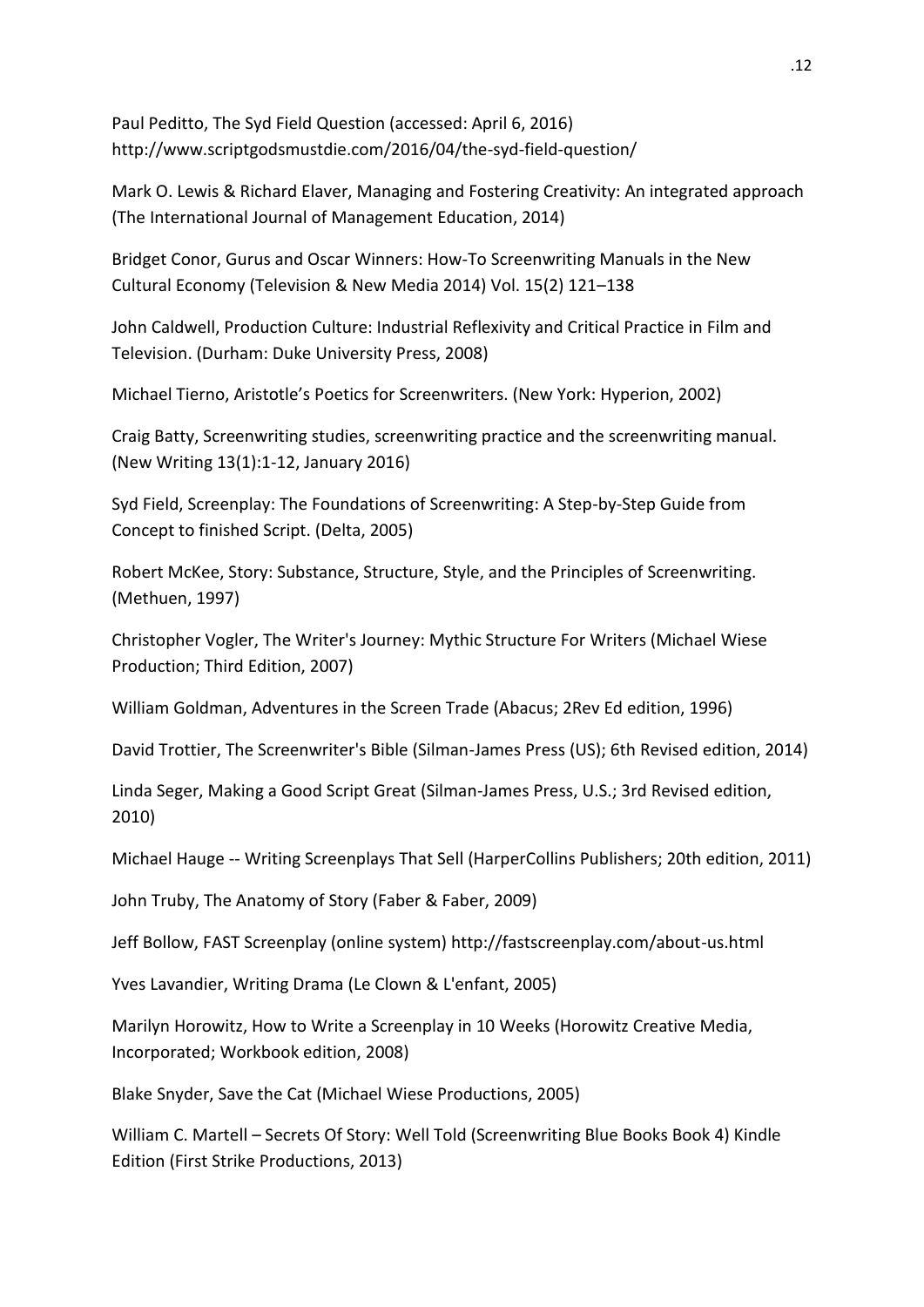Paul Peditto, The Syd Field Question (accessed: April 6, 2016) http://www.scriptgodsmustdie.com/2016/04/the-syd-field-question/

Mark O. Lewis & Richard Elaver, Managing and Fostering Creativity: An integrated approach (The International Journal of Management Education, 2014)

Bridget Conor, Gurus and Oscar Winners: How-To Screenwriting Manuals in the New Cultural Economy (Television & New Media 2014) Vol. 15(2) 121–138

John Caldwell, Production Culture: Industrial Reflexivity and Critical Practice in Film and Television. (Durham: Duke University Press, 2008)

Michael Tierno, Aristotle's Poetics for Screenwriters. (New York: Hyperion, 2002)

Craig Batty, Screenwriting studies, screenwriting practice and the screenwriting manual. (New Writing 13(1):1-12, January 2016)

Syd Field, Screenplay: The Foundations of Screenwriting: A Step-by-Step Guide from Concept to finished Script. (Delta, 2005)

Robert McKee, Story: Substance, Structure, Style, and the Principles of Screenwriting. (Methuen, 1997)

Christopher Vogler, The Writer's Journey: Mythic Structure For Writers (Michael Wiese Production; Third Edition, 2007)

William Goldman, Adventures in the Screen Trade (Abacus; 2Rev Ed edition, 1996)

David Trottier, The Screenwriter's Bible (Silman-James Press (US); 6th Revised edition, 2014)

Linda Seger, Making a Good Script Great (Silman-James Press, U.S.; 3rd Revised edition, 2010)

Michael Hauge -- Writing Screenplays That Sell (HarperCollins Publishers; 20th edition, 2011)

John Truby, The Anatomy of Story (Faber & Faber, 2009)

Jeff Bollow, FAST Screenplay (online system) http://fastscreenplay.com/about-us.html

Yves Lavandier, Writing Drama (Le Clown & L'enfant, 2005)

Marilyn Horowitz, How to Write a Screenplay in 10 Weeks (Horowitz Creative Media, Incorporated; Workbook edition, 2008)

Blake Snyder, Save the Cat (Michael Wiese Productions, 2005)

William C. Martell – Secrets Of Story: Well Told (Screenwriting Blue Books Book 4) Kindle Edition (First Strike Productions, 2013)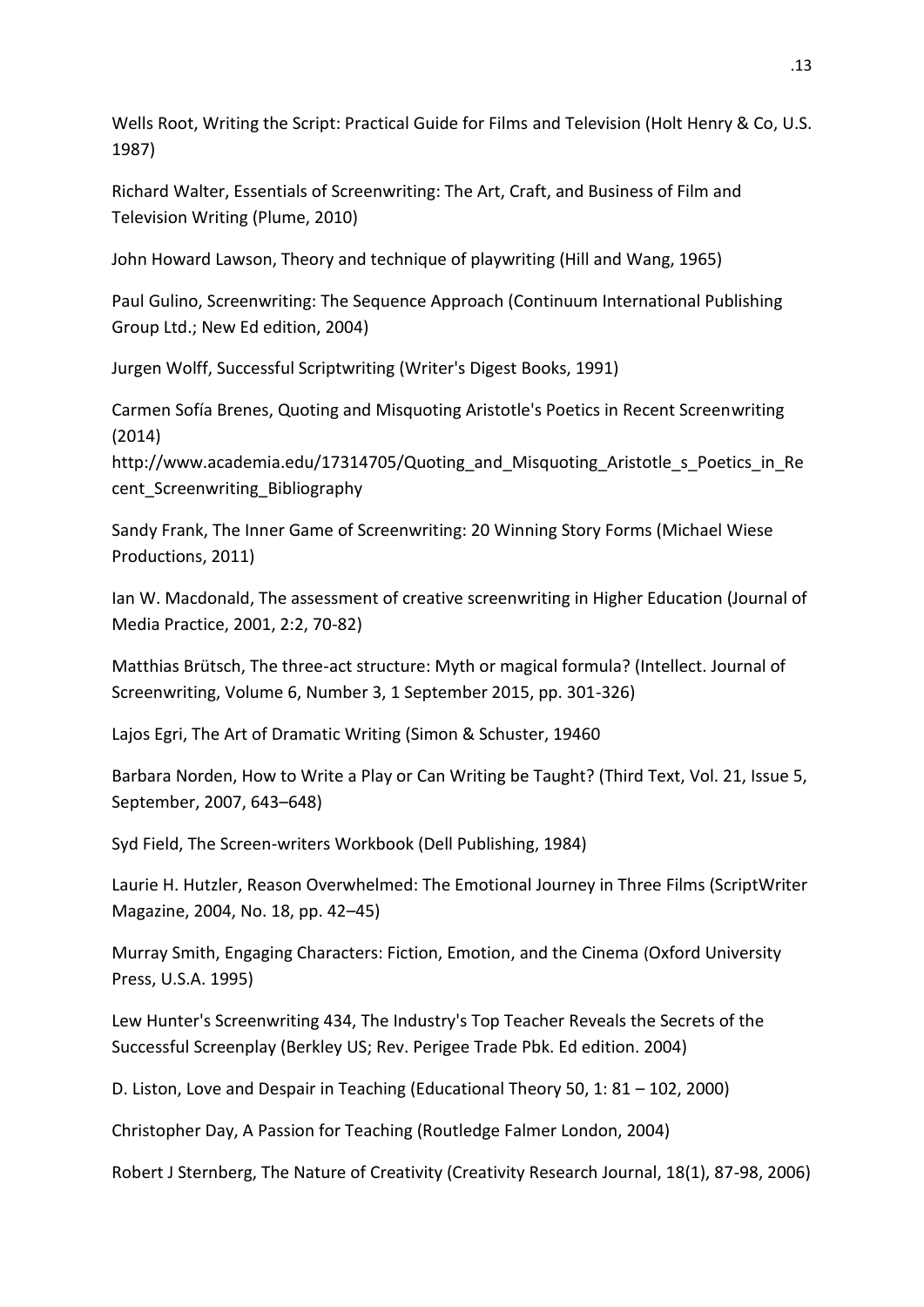Wells Root, Writing the Script: Practical Guide for Films and Television (Holt Henry & Co, U.S. 1987)

Richard Walter, Essentials of Screenwriting: The Art, Craft, and Business of Film and Television Writing (Plume, 2010)

John Howard Lawson, Theory and technique of playwriting (Hill and Wang, 1965)

Paul Gulino, Screenwriting: The Sequence Approach (Continuum International Publishing Group Ltd.; New Ed edition, 2004)

Jurgen Wolff, Successful Scriptwriting (Writer's Digest Books, 1991)

Carmen Sofía Brenes, Quoting and Misquoting Aristotle's Poetics in Recent Screenwriting (2014)

http://www.academia.edu/17314705/Quoting\_and\_Misquoting\_Aristotle\_s\_Poetics\_in\_Re cent Screenwriting Bibliography

Sandy Frank, The Inner Game of Screenwriting: 20 Winning Story Forms (Michael Wiese Productions, 2011)

Ian W. Macdonald, The assessment of creative screenwriting in Higher Education (Journal of Media Practice, 2001, 2:2, 70-82)

Matthias Brütsch, The three-act structure: Myth or magical formula? (Intellect. Journal of Screenwriting, Volume 6, Number 3, 1 September 2015, pp. 301-326)

Lajos Egri, The Art of Dramatic Writing (Simon & Schuster, 19460

Barbara Norden, How to Write a Play or Can Writing be Taught? (Third Text, Vol. 21, Issue 5, September, 2007, 643–648)

Syd Field, The Screen-writers Workbook (Dell Publishing, 1984)

Laurie H. Hutzler, Reason Overwhelmed: The Emotional Journey in Three Films (ScriptWriter Magazine, 2004, No. 18, pp. 42–45)

Murray Smith, Engaging Characters: Fiction, Emotion, and the Cinema (Oxford University Press, U.S.A. 1995)

Lew Hunter's Screenwriting 434, The Industry's Top Teacher Reveals the Secrets of the Successful Screenplay (Berkley US; Rev. Perigee Trade Pbk. Ed edition. 2004)

D. Liston, Love and Despair in Teaching (Educational Theory 50, 1: 81 – 102, 2000)

Christopher Day, A Passion for Teaching (Routledge Falmer London, 2004)

Robert J Sternberg, The Nature of Creativity (Creativity Research Journal, 18(1), 87-98, 2006)